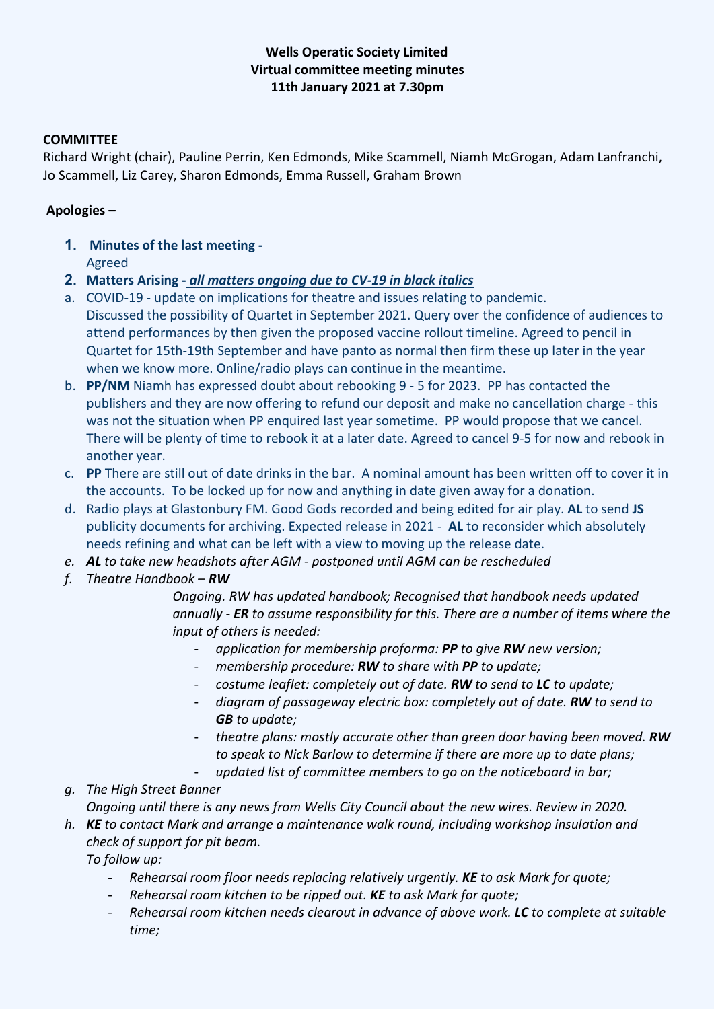## **Wells Operatic Society Limited Virtual committee meeting minutes 11th January 2021 at 7.30pm**

#### **COMMITTEE**

Richard Wright (chair), Pauline Perrin, Ken Edmonds, Mike Scammell, Niamh McGrogan, Adam Lanfranchi, Jo Scammell, Liz Carey, Sharon Edmonds, Emma Russell, Graham Brown

#### **Apologies –**

- **1. Minutes of the last meeting -** Agreed
- **2. Matters Arising -** *all matters ongoing due to CV-19 in black italics*
- a. COVID-19 update on implications for theatre and issues relating to pandemic. Discussed the possibility of Quartet in September 2021. Query over the confidence of audiences to attend performances by then given the proposed vaccine rollout timeline. Agreed to pencil in Quartet for 15th-19th September and have panto as normal then firm these up later in the year when we know more. Online/radio plays can continue in the meantime.
- b. **PP/NM** Niamh has expressed doubt about rebooking 9 5 for 2023. PP has contacted the publishers and they are now offering to refund our deposit and make no cancellation charge - this was not the situation when PP enquired last year sometime. PP would propose that we cancel. There will be plenty of time to rebook it at a later date. Agreed to cancel 9-5 for now and rebook in another year.
- c. **PP** There are still out of date drinks in the bar. A nominal amount has been written off to cover it in the accounts. To be locked up for now and anything in date given away for a donation.
- d. Radio plays at Glastonbury FM. Good Gods recorded and being edited for air play. **AL** to send **JS**  publicity documents for archiving. Expected release in 2021 - **AL** to reconsider which absolutely needs refining and what can be left with a view to moving up the release date.
- *e. AL to take new headshots after AGM - postponed until AGM can be rescheduled*
- *f. Theatre Handbook – RW*

*Ongoing. RW has updated handbook; Recognised that handbook needs updated annually - ER to assume responsibility for this. There are a number of items where the input of others is needed:*

- *application for membership proforma: PP to give RW new version;*
- *membership procedure: RW to share with PP to update;*
- *costume leaflet: completely out of date. RW to send to LC to update;*
- *diagram of passageway electric box: completely out of date. RW to send to GB to update;*
- *theatre plans: mostly accurate other than green door having been moved. RW to speak to Nick Barlow to determine if there are more up to date plans;*
- *updated list of committee members to go on the noticeboard in bar;*
- *g. The High Street Banner*
	- *Ongoing until there is any news from Wells City Council about the new wires. Review in 2020.*
- *h. KE to contact Mark and arrange a maintenance walk round, including workshop insulation and check of support for pit beam.*

*To follow up:*

- *Rehearsal room floor needs replacing relatively urgently. KE to ask Mark for quote;*
- *Rehearsal room kitchen to be ripped out. KE to ask Mark for quote;*
- *Rehearsal room kitchen needs clearout in advance of above work. LC to complete at suitable time;*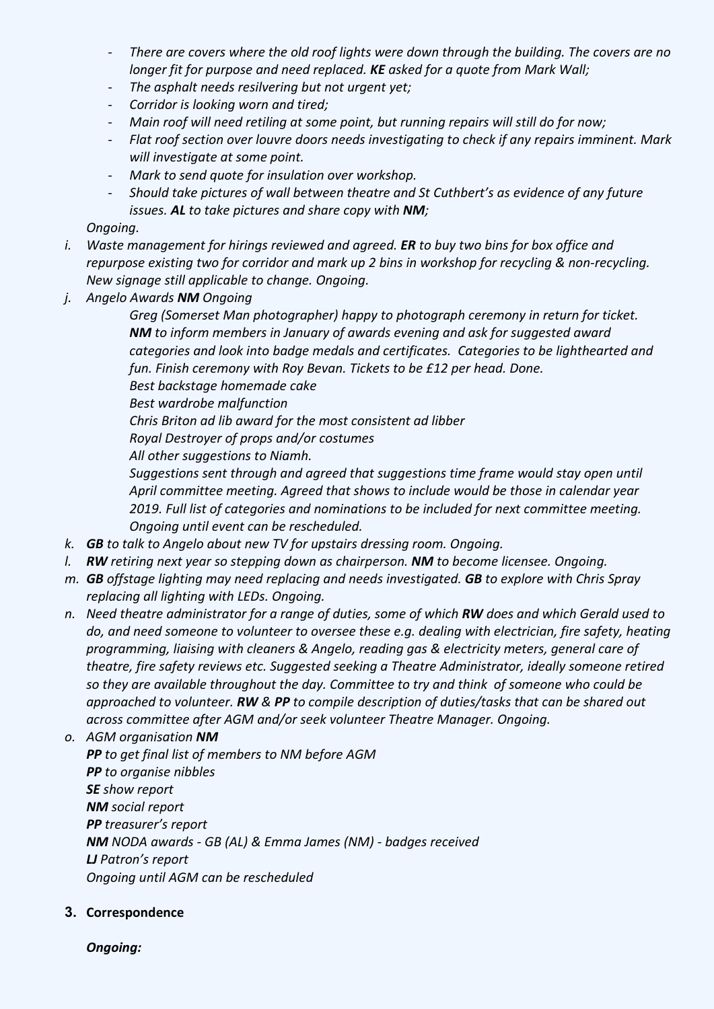- *There are covers where the old roof lights were down through the building. The covers are no longer fit for purpose and need replaced. KE asked for a quote from Mark Wall;*
- *The asphalt needs resilvering but not urgent yet;*
- *Corridor is looking worn and tired;*
- *Main roof will need retiling at some point, but running repairs will still do for now;*
- *Flat roof section over louvre doors needs investigating to check if any repairs imminent. Mark will investigate at some point.*
- *Mark to send quote for insulation over workshop.*
- *Should take pictures of wall between theatre and St Cuthbert's as evidence of any future issues. AL to take pictures and share copy with NM;*

*Ongoing.*

- *i. Waste management for hirings reviewed and agreed. ER to buy two bins for box office and repurpose existing two for corridor and mark up 2 bins in workshop for recycling & non-recycling. New signage still applicable to change. Ongoing.*
- *j. Angelo Awards NM Ongoing*
	- *Greg (Somerset Man photographer) happy to photograph ceremony in return for ticket. NM to inform members in January of awards evening and ask for suggested award categories and look into badge medals and certificates. Categories to be lighthearted and fun. Finish ceremony with Roy Bevan. Tickets to be £12 per head. Done.*

*Best backstage homemade cake*

*Best wardrobe malfunction*

*Chris Briton ad lib award for the most consistent ad libber*

*Royal Destroyer of props and/or costumes*

*All other suggestions to Niamh.*

*Suggestions sent through and agreed that suggestions time frame would stay open until April committee meeting. Agreed that shows to include would be those in calendar year 2019. Full list of categories and nominations to be included for next committee meeting. Ongoing until event can be rescheduled.*

- *k. GB to talk to Angelo about new TV for upstairs dressing room. Ongoing.*
- *l. RW retiring next year so stepping down as chairperson. NM to become licensee. Ongoing.*
- *m. GB offstage lighting may need replacing and needs investigated. GB to explore with Chris Spray replacing all lighting with LEDs. Ongoing.*
- *n. Need theatre administrator for a range of duties, some of which RW does and which Gerald used to do, and need someone to volunteer to oversee these e.g. dealing with electrician, fire safety, heating programming, liaising with cleaners & Angelo, reading gas & electricity meters, general care of theatre, fire safety reviews etc. Suggested seeking a Theatre Administrator, ideally someone retired so they are available throughout the day. Committee to try and think of someone who could be approached to volunteer. RW & PP to compile description of duties/tasks that can be shared out across committee after AGM and/or seek volunteer Theatre Manager. Ongoing.*

*o. AGM organisation NM PP to get final list of members to NM before AGM PP to organise nibbles SE show report NM social report PP treasurer's report NM NODA awards - GB (AL) & Emma James (NM) - badges received LJ Patron's report Ongoing until AGM can be rescheduled*

# **3. Correspondence**

*Ongoing:*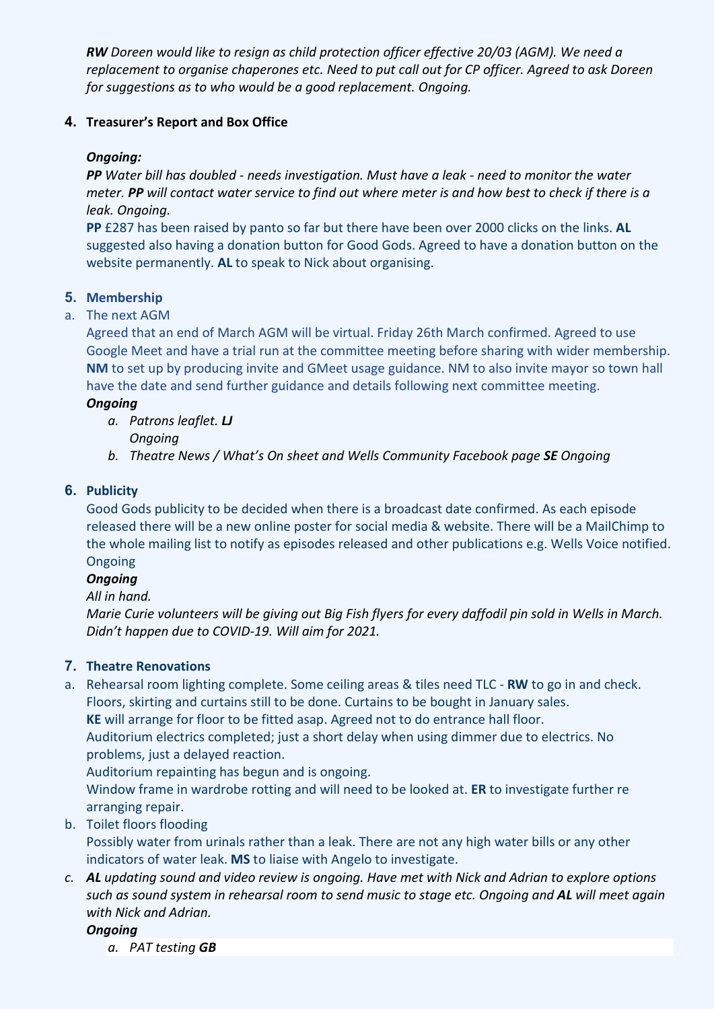*RW Doreen would like to resign as child protection officer effective 20/03 (AGM). We need a replacement to organise chaperones etc. Need to put call out for CP officer. Agreed to ask Doreen for suggestions as to who would be a good replacement. Ongoing.*

## **4. Treasurer's Report and Box Office**

## *Ongoing:*

*PP Water bill has doubled - needs investigation. Must have a leak - need to monitor the water meter. PP will contact water service to find out where meter is and how best to check if there is a leak. Ongoing.*

**PP** £287 has been raised by panto so far but there have been over 2000 clicks on the links. **AL**  suggested also having a donation button for Good Gods. Agreed to have a donation button on the website permanently. **AL** to speak to Nick about organising.

## **5. Membership**

## a. The next AGM

Agreed that an end of March AGM will be virtual. Friday 26th March confirmed. Agreed to use Google Meet and have a trial run at the committee meeting before sharing with wider membership. **NM** to set up by producing invite and GMeet usage guidance. NM to also invite mayor so town hall have the date and send further guidance and details following next committee meeting.

#### *Ongoing*

- *a. Patrons leaflet. LJ Ongoing*
- *b. Theatre News / What's On sheet and Wells Community Facebook page SE Ongoing*

#### **6. Publicity**

Good Gods publicity to be decided when there is a broadcast date confirmed. As each episode released there will be a new online poster for social media & website. There will be a MailChimp to the whole mailing list to notify as episodes released and other publications e.g. Wells Voice notified. Ongoing

## *Ongoing*

#### *All in hand.*

*Marie Curie volunteers will be giving out Big Fish flyers for every daffodil pin sold in Wells in March. Didn't happen due to COVID-19. Will aim for 2021.*

## **7. Theatre Renovations**

a. Rehearsal room lighting complete. Some ceiling areas & tiles need TLC - **RW** to go in and check. Floors, skirting and curtains still to be done. Curtains to be bought in January sales.

**KE** will arrange for floor to be fitted asap. Agreed not to do entrance hall floor.

Auditorium electrics completed; just a short delay when using dimmer due to electrics. No problems, just a delayed reaction.

Auditorium repainting has begun and is ongoing.

Window frame in wardrobe rotting and will need to be looked at. **ER** to investigate further re arranging repair.

b. Toilet floors flooding

Possibly water from urinals rather than a leak. There are not any high water bills or any other indicators of water leak. **MS** to liaise with Angelo to investigate.

*c. AL updating sound and video review is ongoing. Have met with Nick and Adrian to explore options such as sound system in rehearsal room to send music to stage etc. Ongoing and AL will meet again with Nick and Adrian.*

#### *Ongoing*

*a. PAT testing GB*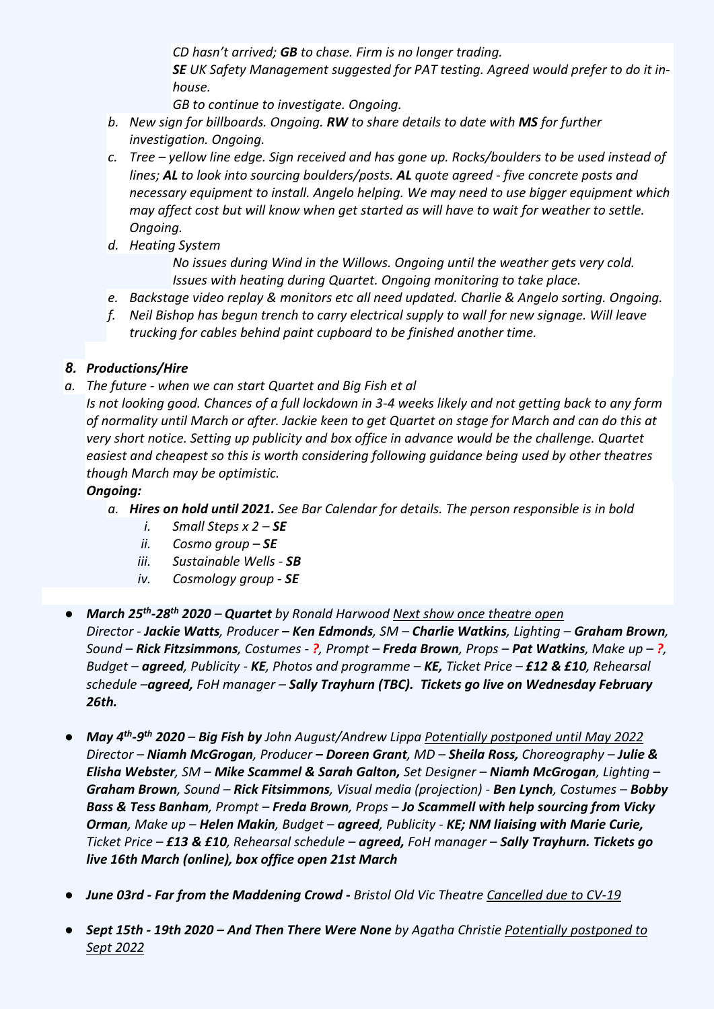*CD hasn't arrived; GB to chase. Firm is no longer trading.*

*SE UK Safety Management suggested for PAT testing. Agreed would prefer to do it inhouse.*

*GB to continue to investigate. Ongoing.*

- *b. New sign for billboards. Ongoing. RW to share details to date with MS for further investigation. Ongoing.*
- *c. Tree – yellow line edge. Sign received and has gone up. Rocks/boulders to be used instead of lines; AL to look into sourcing boulders/posts. AL quote agreed - five concrete posts and necessary equipment to install. Angelo helping. We may need to use bigger equipment which may affect cost but will know when get started as will have to wait for weather to settle. Ongoing.*
- *d. Heating System*

*No issues during Wind in the Willows. Ongoing until the weather gets very cold. Issues with heating during Quartet. Ongoing monitoring to take place.*

- *e. Backstage video replay & monitors etc all need updated. Charlie & Angelo sorting. Ongoing.*
- *f. Neil Bishop has begun trench to carry electrical supply to wall for new signage. Will leave trucking for cables behind paint cupboard to be finished another time.*

# *8. Productions/Hire*

*a. The future - when we can start Quartet and Big Fish et al*

*Is not looking good. Chances of a full lockdown in 3-4 weeks likely and not getting back to any form of normality until March or after. Jackie keen to get Quartet on stage for March and can do this at very short notice. Setting up publicity and box office in advance would be the challenge. Quartet easiest and cheapest so this is worth considering following guidance being used by other theatres though March may be optimistic.*

# *Ongoing:*

- *a. Hires on hold until 2021. See Bar Calendar for details. The person responsible is in bold*
	- *i. Small Steps x 2 – SE*
	- *ii. Cosmo group – SE*
	- *iii. Sustainable Wells - SB*
	- *iv. Cosmology group - SE*
- *March 25th-28th 2020 – Quartet by Ronald Harwood Next show once theatre open Director - Jackie Watts, Producer – Ken Edmonds, SM – Charlie Watkins, Lighting – Graham Brown, Sound – Rick Fitzsimmons, Costumes - ?, Prompt – Freda Brown, Props – Pat Watkins, Make up – ?, Budget – agreed, Publicity - KE, Photos and programme – KE, Ticket Price – £12 & £10, Rehearsal schedule –agreed, FoH manager – Sally Trayhurn (TBC). Tickets go live on Wednesday February 26th.*
- *May 4th-9th 2020 – Big Fish by John August/Andrew Lippa Potentially postponed until May 2022 Director – Niamh McGrogan, Producer – Doreen Grant, MD – Sheila Ross, Choreography – Julie & Elisha Webster, SM – Mike Scammel & Sarah Galton, Set Designer – Niamh McGrogan, Lighting – Graham Brown, Sound – Rick Fitsimmons, Visual media (projection) - Ben Lynch, Costumes – Bobby Bass & Tess Banham, Prompt – Freda Brown, Props – Jo Scammell with help sourcing from Vicky Orman, Make up – Helen Makin, Budget – agreed, Publicity - KE; NM liaising with Marie Curie, Ticket Price – £13 & £10, Rehearsal schedule – agreed, FoH manager – Sally Trayhurn. Tickets go live 16th March (online), box office open 21st March*
- *June 03rd - Far from the Maddening Crowd - Bristol Old Vic Theatre Cancelled due to CV-19*
- *Sept 15th - 19th 2020 – And Then There Were None by Agatha Christie Potentially postponed to Sept 2022*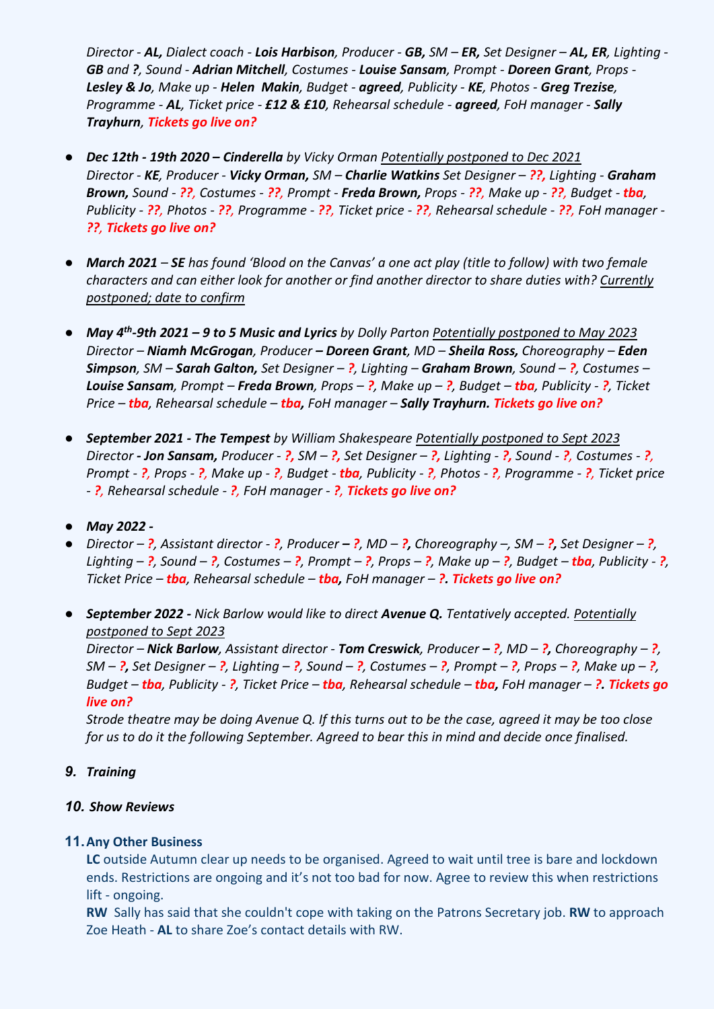*Director - AL, Dialect coach - Lois Harbison, Producer - GB, SM – ER, Set Designer – AL, ER, Lighting - GB and ?, Sound - Adrian Mitchell, Costumes - Louise Sansam, Prompt - Doreen Grant, Props - Lesley & Jo, Make up - Helen Makin, Budget - agreed, Publicity - KE, Photos - Greg Trezise, Programme - AL, Ticket price - £12 & £10, Rehearsal schedule - agreed, FoH manager - Sally Trayhurn, Tickets go live on?*

- *Dec 12th - 19th 2020 – Cinderella by Vicky Orman Potentially postponed to Dec 2021 Director - KE, Producer - Vicky Orman, SM – Charlie Watkins Set Designer – ??, Lighting - Graham Brown, Sound - ??, Costumes - ??, Prompt - Freda Brown, Props - ??, Make up - ??, Budget - tba, Publicity - ??, Photos - ??, Programme - ??, Ticket price - ??, Rehearsal schedule - ??, FoH manager - ??, Tickets go live on?*
- *March 2021 – SE has found 'Blood on the Canvas' a one act play (title to follow) with two female characters and can either look for another or find another director to share duties with? Currently postponed; date to confirm*
- *May 4th-9th 2021 – 9 to 5 Music and Lyrics by Dolly Parton Potentially postponed to May 2023 Director – Niamh McGrogan, Producer – Doreen Grant, MD – Sheila Ross, Choreography – Eden Simpson, SM – Sarah Galton, Set Designer – ?, Lighting – Graham Brown, Sound – ?, Costumes – Louise Sansam, Prompt – Freda Brown, Props – ?, Make up – ?, Budget – tba, Publicity - ?, Ticket Price – tba, Rehearsal schedule – tba, FoH manager – Sally Trayhurn. Tickets go live on?*
- *September 2021 - The Tempest by William Shakespeare Potentially postponed to Sept 2023 Director - Jon Sansam, Producer - ?, SM – ?, Set Designer – ?, Lighting - ?, Sound - ?, Costumes - ?, Prompt - ?, Props - ?, Make up - ?, Budget - tba, Publicity - ?, Photos - ?, Programme - ?, Ticket price - ?, Rehearsal schedule - ?, FoH manager - ?, Tickets go live on?*
- *May 2022 -*
- *Director – ?, Assistant director - ?, Producer – ?, MD – ?, Choreography –, SM – ?, Set Designer – ?,*  Lighting  $-$  ?, Sound  $-$  ?, Costumes  $-$  ?, Prompt  $-$  ?, Props  $-$  ?, Make up  $-$  ?, Budget  $-$  tha, Publicity  $-$  ?, *Ticket Price – tba, Rehearsal schedule – tba, FoH manager – ?. Tickets go live on?*
- *September 2022 - Nick Barlow would like to direct Avenue Q. Tentatively accepted. Potentially postponed to Sept 2023*

*Director – Nick Barlow, Assistant director - Tom Creswick, Producer – ?, MD – ?, Choreography – ?,*  SM – ?, Set Designer – ?, Lighting – ?, Sound – ?, Costumes – ?, Prompt – ?, Props – ?, Make up – ?, *Budget – tba, Publicity - ?, Ticket Price – tba, Rehearsal schedule – tba, FoH manager – ?. Tickets go live on?*

*Strode theatre may be doing Avenue Q. If this turns out to be the case, agreed it may be too close for us to do it the following September. Agreed to bear this in mind and decide once finalised.*

*9. Training*

#### *10. Show Reviews*

## **11.Any Other Business**

**LC** outside Autumn clear up needs to be organised. Agreed to wait until tree is bare and lockdown ends. Restrictions are ongoing and it's not too bad for now. Agree to review this when restrictions lift - ongoing.

**RW** Sally has said that she couldn't cope with taking on the Patrons Secretary job. **RW** to approach Zoe Heath - **AL** to share Zoe's contact details with RW.